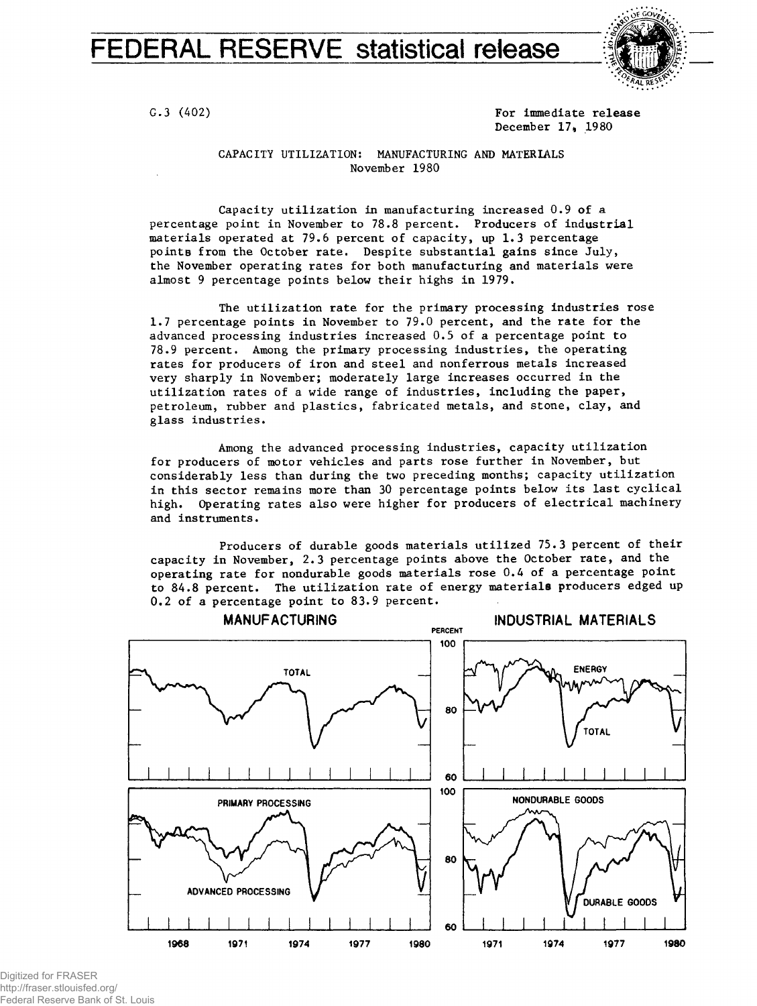# FEDERAL RESERVE statistical release



G.3 (402) For immediate release December 17, 1980

#### CAPACITY UTILIZATION: MANUFACTURING AND MATERIALS November 1980

Capacity utilization in manufacturing increased 0.9 of a percentage point in November to 78.8 percent. Producers of industrial materials operated at 79.6 percent of capacity, up 1.3 percentage points from the October rate. Despite substantial gains since July, the November operating rates for both manufacturing and materials were almost 9 percentage points below their highs in 1979.

The utilization rate for the primary processing industries rose 1.7 percentage points in November to 79.0 percent, and the rate for the advanced processing industries increased 0.5 of a percentage point to 78.9 percent. Among the primary processing industries, the operating rates for producers of iron and steel and nonferrous metals increased very sharply in November; moderately large increases occurred in the utilization rates of a wide range of industries, including the paper, petroleum, rubber and plastics, fabricated metals, and stone, clay, and glass industries.

Among the advanced processing industries, capacity utilization for producers of motor vehicles and parts rose further in November, but considerably less than during the two preceding months; capacity utilization in this sector remains more than 30 percentage points below its last cyclical high. Operating rates also were higher for producers of electrical machinery and instruments.

Producers of durable goods materials utilized 75.3 percent of their capacity in November, 2.3 percentage points above the October rate, and the operating rate for nondurable goods materials rose 0.4 of a percentage point to 84.8 percent. The utilization rate of energy materials producers edged up 0.2 of a percentage point to 83.9 percent.



Digitized for FRASER http://fraser.stlouisfed.org/ Federal Reserve Bank of St. Louis